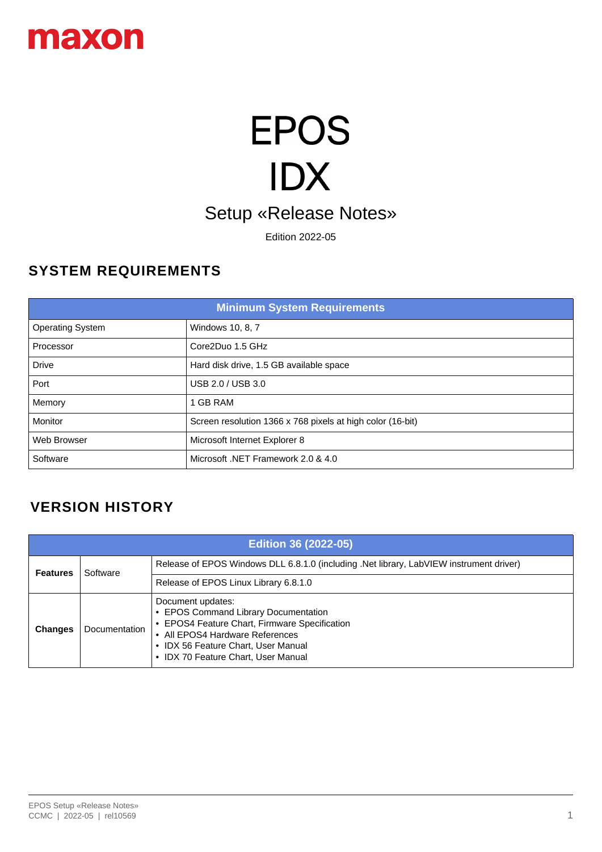

# **EPOS** IDX Setup «Release Notes»

Edition 2022-05

#### **SYSTEM REQUIREMENTS**

| <b>Minimum System Requirements</b> |                                                            |
|------------------------------------|------------------------------------------------------------|
| <b>Operating System</b>            | Windows 10, 8, 7                                           |
| Processor                          | Core2Duo 1.5 GHz                                           |
| <b>Drive</b>                       | Hard disk drive, 1.5 GB available space                    |
| Port                               | USB 2.0 / USB 3.0                                          |
| Memory                             | <b>GB RAM</b>                                              |
| Monitor                            | Screen resolution 1366 x 768 pixels at high color (16-bit) |
| Web Browser                        | Microsoft Internet Explorer 8                              |
| Software                           | Microsoft .NET Framework 2.0 & 4.0                         |

#### **VERSION HISTORY**

| <b>Edition 36 (2022-05)</b> |               |                                                                                                                                                                                                                                           |
|-----------------------------|---------------|-------------------------------------------------------------------------------------------------------------------------------------------------------------------------------------------------------------------------------------------|
| <b>Features</b>             | Software      | Release of EPOS Windows DLL 6.8.1.0 (including .Net library, LabVIEW instrument driver)                                                                                                                                                   |
|                             |               | Release of EPOS Linux Library 6.8.1.0                                                                                                                                                                                                     |
| <b>Changes</b>              | Documentation | Document updates:<br>• EPOS Command Library Documentation<br>EPOS4 Feature Chart, Firmware Specification<br>• All EPOS4 Hardware References<br>IDX 56 Feature Chart, User Manual<br><b>IDX 70 Feature Chart, User Manual</b><br>$\bullet$ |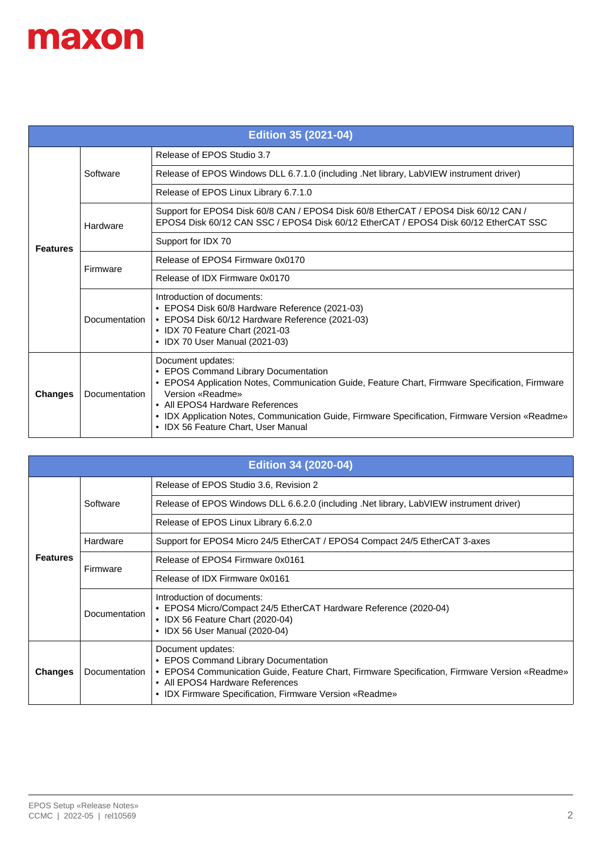| <b>Edition 35 (2021-04)</b> |                      |                                                                                                                                                                                                                                                                                                                                                               |
|-----------------------------|----------------------|---------------------------------------------------------------------------------------------------------------------------------------------------------------------------------------------------------------------------------------------------------------------------------------------------------------------------------------------------------------|
|                             | Software             | Release of EPOS Studio 3.7                                                                                                                                                                                                                                                                                                                                    |
|                             |                      | Release of EPOS Windows DLL 6.7.1.0 (including .Net library, LabVIEW instrument driver)                                                                                                                                                                                                                                                                       |
|                             |                      | Release of EPOS Linux Library 6.7.1.0                                                                                                                                                                                                                                                                                                                         |
|                             | Hardware             | Support for EPOS4 Disk 60/8 CAN / EPOS4 Disk 60/8 EtherCAT / EPOS4 Disk 60/12 CAN /<br>EPOS4 Disk 60/12 CAN SSC / EPOS4 Disk 60/12 EtherCAT / EPOS4 Disk 60/12 EtherCAT SSC                                                                                                                                                                                   |
| <b>Features</b>             |                      | Support for IDX 70                                                                                                                                                                                                                                                                                                                                            |
|                             | Firmware             | Release of EPOS4 Firmware 0x0170                                                                                                                                                                                                                                                                                                                              |
|                             |                      | Release of IDX Firmware 0x0170                                                                                                                                                                                                                                                                                                                                |
|                             | <b>Documentation</b> | Introduction of documents:<br>• EPOS4 Disk 60/8 Hardware Reference (2021-03)<br>• EPOS4 Disk 60/12 Hardware Reference (2021-03)<br>• IDX 70 Feature Chart (2021-03<br>• IDX 70 User Manual (2021-03)                                                                                                                                                          |
| <b>Changes</b>              | Documentation        | Document updates:<br>• EPOS Command Library Documentation<br>• EPOS4 Application Notes, Communication Guide, Feature Chart, Firmware Specification, Firmware<br>Version «Readme»<br>• All EPOS4 Hardware References<br>• IDX Application Notes, Communication Guide, Firmware Specification, Firmware Version «Readme»<br>• IDX 56 Feature Chart, User Manual |

| <b>Edition 34 (2020-04)</b> |               |                                                                                                                                                                                                                                                          |
|-----------------------------|---------------|----------------------------------------------------------------------------------------------------------------------------------------------------------------------------------------------------------------------------------------------------------|
|                             |               | Release of EPOS Studio 3.6, Revision 2                                                                                                                                                                                                                   |
|                             | Software      | Release of EPOS Windows DLL 6.6.2.0 (including .Net library, LabVIEW instrument driver)                                                                                                                                                                  |
|                             |               | Release of EPOS Linux Library 6.6.2.0                                                                                                                                                                                                                    |
|                             | Hardware      | Support for EPOS4 Micro 24/5 EtherCAT / EPOS4 Compact 24/5 EtherCAT 3-axes                                                                                                                                                                               |
| <b>Features</b>             | Firmware      | Release of EPOS4 Firmware 0x0161                                                                                                                                                                                                                         |
|                             |               | Release of IDX Firmware 0x0161                                                                                                                                                                                                                           |
|                             | Documentation | Introduction of documents:<br>• EPOS4 Micro/Compact 24/5 EtherCAT Hardware Reference (2020-04)<br>• IDX 56 Feature Chart (2020-04)<br>• IDX 56 User Manual (2020-04)                                                                                     |
| <b>Changes</b>              | Documentation | Document updates:<br>• EPOS Command Library Documentation<br>• EPOS4 Communication Guide, Feature Chart, Firmware Specification, Firmware Version «Readme»<br>• All EPOS4 Hardware References<br>• IDX Firmware Specification, Firmware Version «Readme» |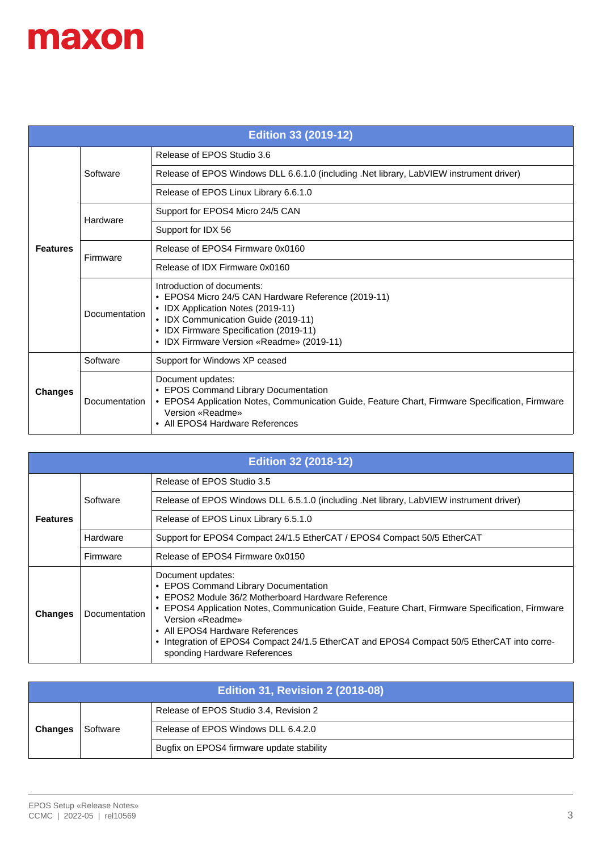| <b>Edition 33 (2019-12)</b> |               |                                                                                                                                                                                                                                                      |
|-----------------------------|---------------|------------------------------------------------------------------------------------------------------------------------------------------------------------------------------------------------------------------------------------------------------|
|                             |               | Release of EPOS Studio 3.6                                                                                                                                                                                                                           |
|                             | Software      | Release of EPOS Windows DLL 6.6.1.0 (including .Net library, LabVIEW instrument driver)                                                                                                                                                              |
|                             |               | Release of EPOS Linux Library 6.6.1.0                                                                                                                                                                                                                |
|                             | Hardware      | Support for EPOS4 Micro 24/5 CAN                                                                                                                                                                                                                     |
|                             |               | Support for IDX 56                                                                                                                                                                                                                                   |
| <b>Features</b>             | Firmware      | Release of EPOS4 Firmware 0x0160                                                                                                                                                                                                                     |
|                             |               | Release of IDX Firmware 0x0160                                                                                                                                                                                                                       |
|                             | Documentation | Introduction of documents:<br>• EPOS4 Micro 24/5 CAN Hardware Reference (2019-11)<br>• IDX Application Notes (2019-11)<br>• IDX Communication Guide (2019-11)<br>• IDX Firmware Specification (2019-11)<br>• IDX Firmware Version «Readme» (2019-11) |
|                             | Software      | Support for Windows XP ceased                                                                                                                                                                                                                        |
| <b>Changes</b>              | Documentation | Document updates:<br>• EPOS Command Library Documentation<br>• EPOS4 Application Notes, Communication Guide, Feature Chart, Firmware Specification, Firmware<br>Version «Readme»<br>• All EPOS4 Hardware References                                  |

| <b>Edition 32 (2018-12)</b> |               |                                                                                                                                                                                                                                                                                                                                                                                                         |
|-----------------------------|---------------|---------------------------------------------------------------------------------------------------------------------------------------------------------------------------------------------------------------------------------------------------------------------------------------------------------------------------------------------------------------------------------------------------------|
|                             |               | Release of EPOS Studio 3.5                                                                                                                                                                                                                                                                                                                                                                              |
|                             | Software      | Release of EPOS Windows DLL 6.5.1.0 (including .Net library, LabVIEW instrument driver)                                                                                                                                                                                                                                                                                                                 |
| <b>Features</b>             |               | Release of EPOS Linux Library 6.5.1.0                                                                                                                                                                                                                                                                                                                                                                   |
|                             | Hardware      | Support for EPOS4 Compact 24/1.5 EtherCAT / EPOS4 Compact 50/5 EtherCAT                                                                                                                                                                                                                                                                                                                                 |
|                             | Firmware      | Release of EPOS4 Firmware 0x0150                                                                                                                                                                                                                                                                                                                                                                        |
| <b>Changes</b>              | Documentation | Document updates:<br>• EPOS Command Library Documentation<br>• EPOS2 Module 36/2 Motherboard Hardware Reference<br>• EPOS4 Application Notes, Communication Guide, Feature Chart, Firmware Specification, Firmware<br>Version «Readme»<br>• All EPOS4 Hardware References<br>• Integration of EPOS4 Compact 24/1.5 EtherCAT and EPOS4 Compact 50/5 EtherCAT into corre-<br>sponding Hardware References |

| <b>Edition 31, Revision 2 (2018-08)</b> |          |                                           |
|-----------------------------------------|----------|-------------------------------------------|
|                                         |          | Release of EPOS Studio 3.4, Revision 2    |
| <b>Changes</b>                          | Software | Release of EPOS Windows DLL 6.4.2.0       |
|                                         |          | Bugfix on EPOS4 firmware update stability |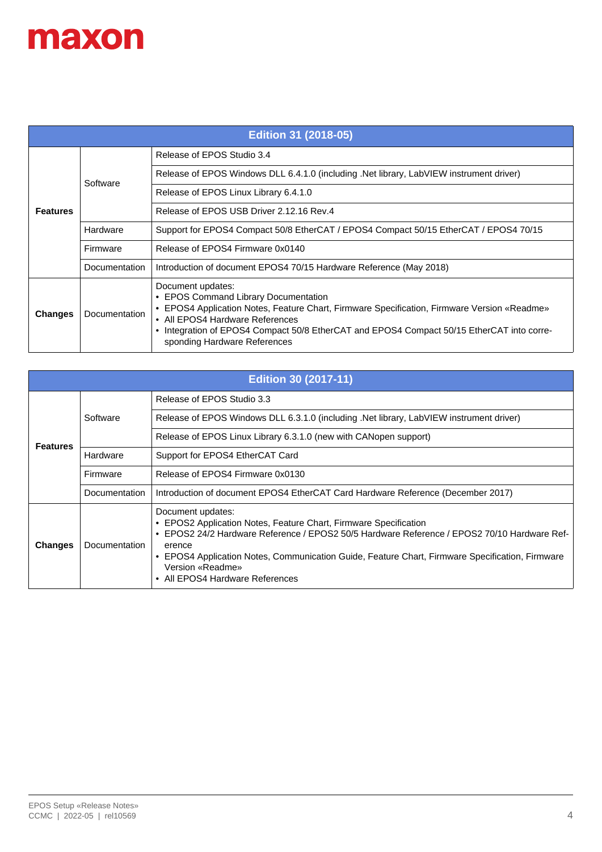| <b>Edition 31 (2018-05)</b> |               |                                                                                                                                                                                                                                                                                                                          |
|-----------------------------|---------------|--------------------------------------------------------------------------------------------------------------------------------------------------------------------------------------------------------------------------------------------------------------------------------------------------------------------------|
|                             |               | Release of EPOS Studio 3.4                                                                                                                                                                                                                                                                                               |
|                             | Software      | Release of EPOS Windows DLL 6.4.1.0 (including .Net library, LabVIEW instrument driver)                                                                                                                                                                                                                                  |
|                             |               | Release of EPOS Linux Library 6.4.1.0                                                                                                                                                                                                                                                                                    |
| <b>Features</b>             |               | Release of EPOS USB Driver 2.12.16 Rev.4                                                                                                                                                                                                                                                                                 |
|                             | Hardware      | Support for EPOS4 Compact 50/8 EtherCAT / EPOS4 Compact 50/15 EtherCAT / EPOS4 70/15                                                                                                                                                                                                                                     |
|                             | Firmware      | Release of EPOS4 Firmware 0x0140                                                                                                                                                                                                                                                                                         |
|                             | Documentation | Introduction of document EPOS4 70/15 Hardware Reference (May 2018)                                                                                                                                                                                                                                                       |
| <b>Changes</b>              | Documentation | Document updates:<br>• EPOS Command Library Documentation<br>• EPOS4 Application Notes, Feature Chart, Firmware Specification, Firmware Version «Readme»<br>• All EPOS4 Hardware References<br>• Integration of EPOS4 Compact 50/8 EtherCAT and EPOS4 Compact 50/15 EtherCAT into corre-<br>sponding Hardware References |

| <b>Edition 30 (2017-11)</b> |               |                                                                                                                                                                                                                                                                                                                                                          |
|-----------------------------|---------------|----------------------------------------------------------------------------------------------------------------------------------------------------------------------------------------------------------------------------------------------------------------------------------------------------------------------------------------------------------|
|                             | Software      | Release of EPOS Studio 3.3                                                                                                                                                                                                                                                                                                                               |
|                             |               | Release of EPOS Windows DLL 6.3.1.0 (including .Net library, LabVIEW instrument driver)                                                                                                                                                                                                                                                                  |
| <b>Features</b>             |               | Release of EPOS Linux Library 6.3.1.0 (new with CANopen support)                                                                                                                                                                                                                                                                                         |
|                             | Hardware      | Support for EPOS4 EtherCAT Card                                                                                                                                                                                                                                                                                                                          |
|                             | Firmware      | Release of EPOS4 Firmware 0x0130                                                                                                                                                                                                                                                                                                                         |
|                             | Documentation | Introduction of document EPOS4 EtherCAT Card Hardware Reference (December 2017)                                                                                                                                                                                                                                                                          |
| <b>Changes</b>              | Documentation | Document updates:<br>• EPOS2 Application Notes, Feature Chart, Firmware Specification<br>• EPOS2 24/2 Hardware Reference / EPOS2 50/5 Hardware Reference / EPOS2 70/10 Hardware Ref-<br>erence<br>• EPOS4 Application Notes, Communication Guide, Feature Chart, Firmware Specification, Firmware<br>Version «Readme»<br>• All EPOS4 Hardware References |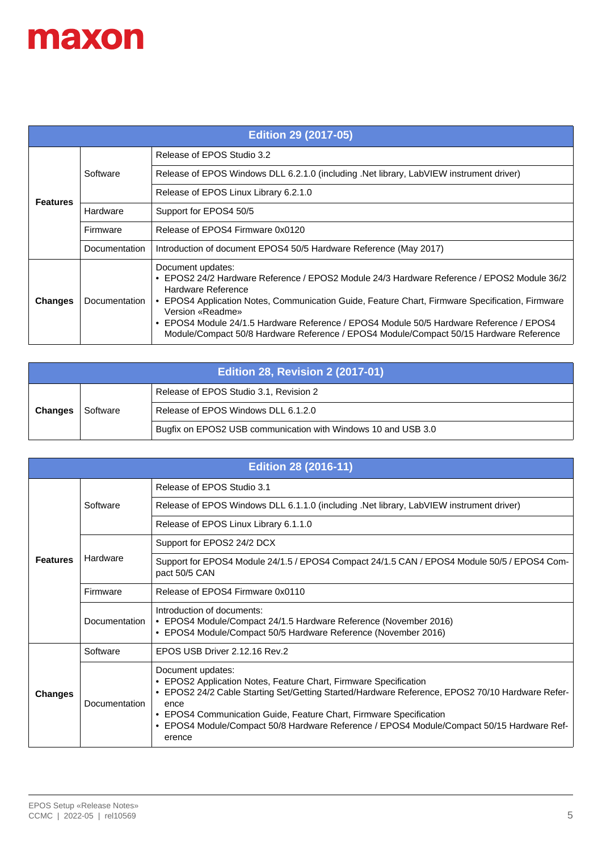| <b>Edition 29 (2017-05)</b> |               |                                                                                                                                                                                                                                                                                                                                                                                                                                                   |
|-----------------------------|---------------|---------------------------------------------------------------------------------------------------------------------------------------------------------------------------------------------------------------------------------------------------------------------------------------------------------------------------------------------------------------------------------------------------------------------------------------------------|
|                             | Software      | Release of EPOS Studio 3.2                                                                                                                                                                                                                                                                                                                                                                                                                        |
|                             |               | Release of EPOS Windows DLL 6.2.1.0 (including .Net library, LabVIEW instrument driver)                                                                                                                                                                                                                                                                                                                                                           |
| <b>Features</b>             |               | Release of EPOS Linux Library 6.2.1.0                                                                                                                                                                                                                                                                                                                                                                                                             |
|                             | Hardware      | Support for EPOS4 50/5                                                                                                                                                                                                                                                                                                                                                                                                                            |
|                             | Firmware      | Release of EPOS4 Firmware 0x0120                                                                                                                                                                                                                                                                                                                                                                                                                  |
|                             | Documentation | Introduction of document EPOS4 50/5 Hardware Reference (May 2017)                                                                                                                                                                                                                                                                                                                                                                                 |
| <b>Changes</b>              | Documentation | Document updates:<br>• EPOS2 24/2 Hardware Reference / EPOS2 Module 24/3 Hardware Reference / EPOS2 Module 36/2<br>Hardware Reference<br>• EPOS4 Application Notes, Communication Guide, Feature Chart, Firmware Specification, Firmware<br>Version «Readme»<br>• EPOS4 Module 24/1.5 Hardware Reference / EPOS4 Module 50/5 Hardware Reference / EPOS4<br>Module/Compact 50/8 Hardware Reference / EPOS4 Module/Compact 50/15 Hardware Reference |

| <b>Edition 28, Revision 2 (2017-01)</b> |          |                                                               |
|-----------------------------------------|----------|---------------------------------------------------------------|
|                                         |          | Release of EPOS Studio 3.1, Revision 2                        |
| <b>Changes</b>                          | Software | Release of EPOS Windows DLL 6.1.2.0                           |
|                                         |          | Bugfix on EPOS2 USB communication with Windows 10 and USB 3.0 |

| <b>Edition 28 (2016-11)</b> |               |                                                                                                                                                                                                                                                                                                                                                                             |
|-----------------------------|---------------|-----------------------------------------------------------------------------------------------------------------------------------------------------------------------------------------------------------------------------------------------------------------------------------------------------------------------------------------------------------------------------|
|                             | Software      | Release of EPOS Studio 3.1                                                                                                                                                                                                                                                                                                                                                  |
|                             |               | Release of EPOS Windows DLL 6.1.1.0 (including .Net library, LabVIEW instrument driver)                                                                                                                                                                                                                                                                                     |
|                             |               | Release of EPOS Linux Library 6.1.1.0                                                                                                                                                                                                                                                                                                                                       |
|                             |               | Support for EPOS2 24/2 DCX                                                                                                                                                                                                                                                                                                                                                  |
| <b>Features</b>             | Hardware      | Support for EPOS4 Module 24/1.5 / EPOS4 Compact 24/1.5 CAN / EPOS4 Module 50/5 / EPOS4 Com-<br>pact 50/5 CAN                                                                                                                                                                                                                                                                |
|                             | Firmware      | Release of EPOS4 Firmware 0x0110                                                                                                                                                                                                                                                                                                                                            |
|                             | Documentation | Introduction of documents:<br>• EPOS4 Module/Compact 24/1.5 Hardware Reference (November 2016)<br>• EPOS4 Module/Compact 50/5 Hardware Reference (November 2016)                                                                                                                                                                                                            |
| <b>Changes</b>              | Software      | EPOS USB Driver 2.12.16 Rev.2                                                                                                                                                                                                                                                                                                                                               |
|                             | Documentation | Document updates:<br>• EPOS2 Application Notes, Feature Chart, Firmware Specification<br>• EPOS2 24/2 Cable Starting Set/Getting Started/Hardware Reference, EPOS2 70/10 Hardware Refer-<br>ence<br>• EPOS4 Communication Guide, Feature Chart, Firmware Specification<br>EPOS4 Module/Compact 50/8 Hardware Reference / EPOS4 Module/Compact 50/15 Hardware Ref-<br>erence |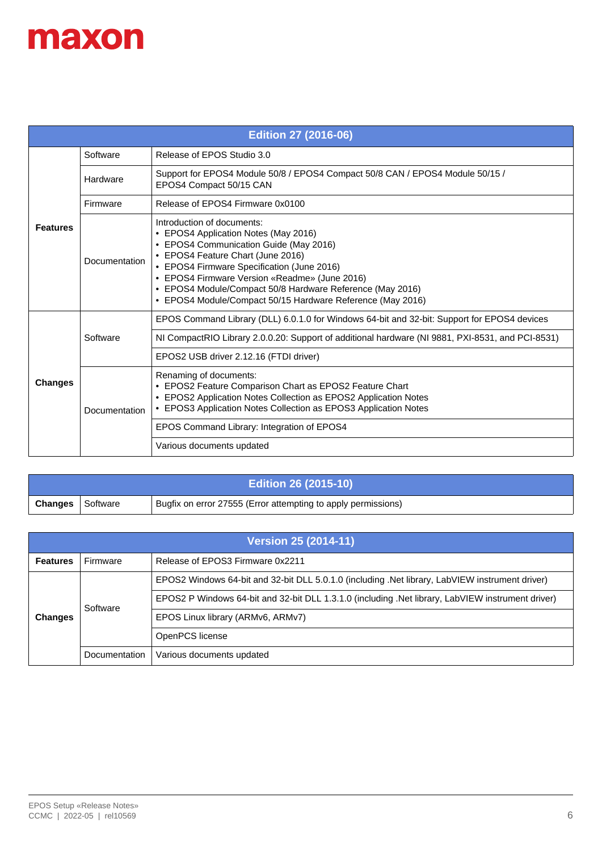| <b>Edition 27 (2016-06)</b> |               |                                                                                                                                                                                                                                                                                                                                                                             |
|-----------------------------|---------------|-----------------------------------------------------------------------------------------------------------------------------------------------------------------------------------------------------------------------------------------------------------------------------------------------------------------------------------------------------------------------------|
|                             | Software      | Release of EPOS Studio 3.0                                                                                                                                                                                                                                                                                                                                                  |
|                             | Hardware      | Support for EPOS4 Module 50/8 / EPOS4 Compact 50/8 CAN / EPOS4 Module 50/15 /<br>EPOS4 Compact 50/15 CAN                                                                                                                                                                                                                                                                    |
|                             | Firmware      | Release of EPOS4 Firmware 0x0100                                                                                                                                                                                                                                                                                                                                            |
| <b>Features</b>             | Documentation | Introduction of documents:<br>• EPOS4 Application Notes (May 2016)<br>• EPOS4 Communication Guide (May 2016)<br>• EPOS4 Feature Chart (June 2016)<br>• EPOS4 Firmware Specification (June 2016)<br>• EPOS4 Firmware Version «Readme» (June 2016)<br>• EPOS4 Module/Compact 50/8 Hardware Reference (May 2016)<br>• EPOS4 Module/Compact 50/15 Hardware Reference (May 2016) |
|                             | Software      | EPOS Command Library (DLL) 6.0.1.0 for Windows 64-bit and 32-bit: Support for EPOS4 devices                                                                                                                                                                                                                                                                                 |
|                             |               | NI CompactRIO Library 2.0.0.20: Support of additional hardware (NI 9881, PXI-8531, and PCI-8531)                                                                                                                                                                                                                                                                            |
|                             |               | EPOS2 USB driver 2.12.16 (FTDI driver)                                                                                                                                                                                                                                                                                                                                      |
| <b>Changes</b>              | Documentation | Renaming of documents:<br>• EPOS2 Feature Comparison Chart as EPOS2 Feature Chart<br>• EPOS2 Application Notes Collection as EPOS2 Application Notes<br>• EPOS3 Application Notes Collection as EPOS3 Application Notes                                                                                                                                                     |
|                             |               | EPOS Command Library: Integration of EPOS4                                                                                                                                                                                                                                                                                                                                  |
|                             |               | Various documents updated                                                                                                                                                                                                                                                                                                                                                   |

| <b>Edition 26 (2015-10)</b> |          |                                                               |
|-----------------------------|----------|---------------------------------------------------------------|
| <b>Changes</b>              | Software | Bugfix on error 27555 (Error attempting to apply permissions) |

| <b>Version 25 (2014-11)</b> |               |                                                                                                   |  |
|-----------------------------|---------------|---------------------------------------------------------------------------------------------------|--|
| <b>Features</b>             | Firmware      | Release of EPOS3 Firmware 0x2211                                                                  |  |
| <b>Changes</b>              | Software      | EPOS2 Windows 64-bit and 32-bit DLL 5.0.1.0 (including .Net library, LabVIEW instrument driver)   |  |
|                             |               | EPOS2 P Windows 64-bit and 32-bit DLL 1.3.1.0 (including .Net library, LabVIEW instrument driver) |  |
|                             |               | EPOS Linux library (ARMv6, ARMv7)                                                                 |  |
|                             |               | OpenPCS license                                                                                   |  |
|                             | Documentation | Various documents updated                                                                         |  |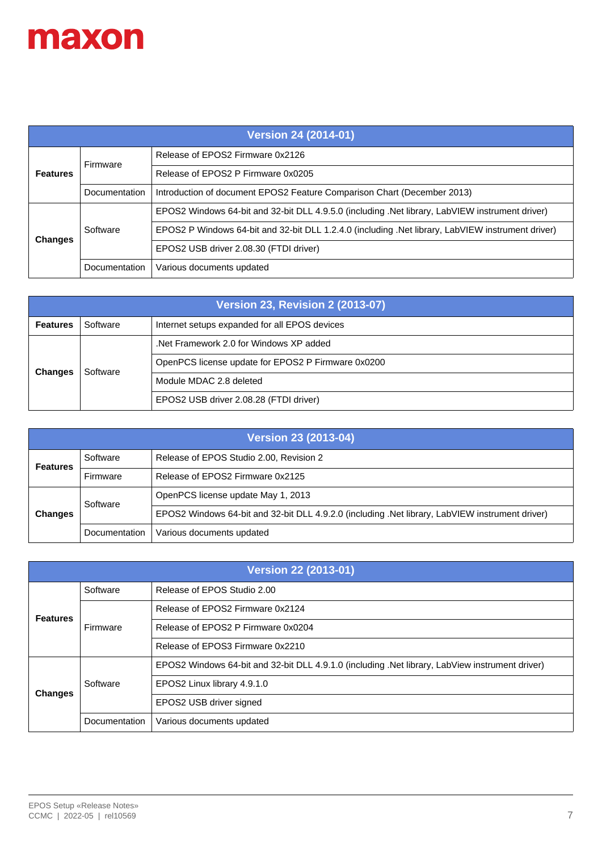

| <b>Version 24 (2014-01)</b> |               |                                                                                                   |
|-----------------------------|---------------|---------------------------------------------------------------------------------------------------|
| <b>Features</b>             | Firmware      | Release of EPOS2 Firmware 0x2126                                                                  |
|                             |               | Release of EPOS2 P Firmware 0x0205                                                                |
|                             | Documentation | Introduction of document EPOS2 Feature Comparison Chart (December 2013)                           |
| <b>Changes</b>              | Software      | EPOS2 Windows 64-bit and 32-bit DLL 4.9.5.0 (including .Net library, LabVIEW instrument driver)   |
|                             |               | EPOS2 P Windows 64-bit and 32-bit DLL 1.2.4.0 (including .Net library, LabVIEW instrument driver) |
|                             |               | EPOS2 USB driver 2.08.30 (FTDI driver)                                                            |
|                             | Documentation | Various documents updated                                                                         |

| <b>Version 23, Revision 2 (2013-07)</b> |          |                                                    |
|-----------------------------------------|----------|----------------------------------------------------|
| <b>Features</b>                         | Software | Internet setups expanded for all EPOS devices      |
| <b>Changes</b>                          | Software | Net Framework 2.0 for Windows XP added             |
|                                         |          | OpenPCS license update for EPOS2 P Firmware 0x0200 |
|                                         |          | Module MDAC 2.8 deleted                            |
|                                         |          | EPOS2 USB driver 2.08.28 (FTDI driver)             |

| Version 23 (2013-04) |               |                                                                                                 |
|----------------------|---------------|-------------------------------------------------------------------------------------------------|
| <b>Features</b>      | Software      | Release of EPOS Studio 2.00, Revision 2                                                         |
|                      | Firmware      | Release of EPOS2 Firmware 0x2125                                                                |
| <b>Changes</b>       | Software      | OpenPCS license update May 1, 2013                                                              |
|                      |               | EPOS2 Windows 64-bit and 32-bit DLL 4.9.2.0 (including .Net library, LabVIEW instrument driver) |
|                      | Documentation | Various documents updated                                                                       |

| <b>Version 22 (2013-01)</b> |               |                                                                                                 |
|-----------------------------|---------------|-------------------------------------------------------------------------------------------------|
| <b>Features</b>             | Software      | Release of EPOS Studio 2.00                                                                     |
|                             | Firmware      | Release of EPOS2 Firmware 0x2124                                                                |
|                             |               | Release of EPOS2 P Firmware 0x0204                                                              |
|                             |               | Release of EPOS3 Firmware 0x2210                                                                |
| <b>Changes</b>              | Software      | EPOS2 Windows 64-bit and 32-bit DLL 4.9.1.0 (including .Net library, LabView instrument driver) |
|                             |               | EPOS2 Linux library 4.9.1.0                                                                     |
|                             |               | EPOS2 USB driver signed                                                                         |
|                             | Documentation | Various documents updated                                                                       |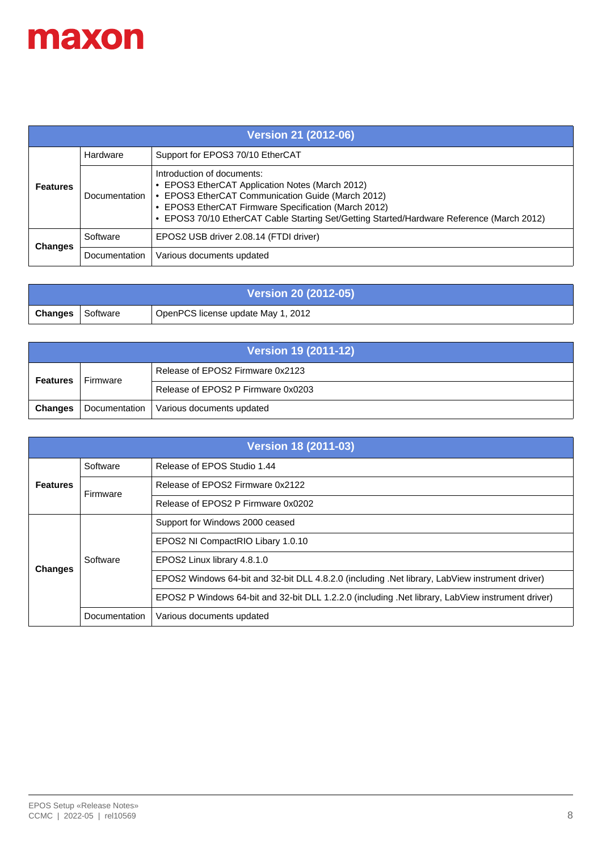

| Version 21 (2012-06) |               |                                                                                                                                                                                                                                                                                         |
|----------------------|---------------|-----------------------------------------------------------------------------------------------------------------------------------------------------------------------------------------------------------------------------------------------------------------------------------------|
|                      | Hardware      | Support for EPOS3 70/10 EtherCAT                                                                                                                                                                                                                                                        |
| <b>Features</b>      | Documentation | Introduction of documents:<br>• EPOS3 EtherCAT Application Notes (March 2012)<br>• EPOS3 EtherCAT Communication Guide (March 2012)<br>• EPOS3 EtherCAT Firmware Specification (March 2012)<br>• EPOS3 70/10 EtherCAT Cable Starting Set/Getting Started/Hardware Reference (March 2012) |
| <b>Changes</b>       | Software      | EPOS2 USB driver 2.08.14 (FTDI driver)                                                                                                                                                                                                                                                  |
|                      | Documentation | Various documents updated                                                                                                                                                                                                                                                               |

| <b>Version 20 (2012-05)</b> |          |                                    |
|-----------------------------|----------|------------------------------------|
| Changes                     | Software | OpenPCS license update May 1, 2012 |

| Version 19 (2011-12) |          |                                           |
|----------------------|----------|-------------------------------------------|
| <b>Features</b>      | Firmware | Release of EPOS2 Firmware 0x2123          |
|                      |          | Release of EPOS2 P Firmware 0x0203        |
| <b>Changes</b>       |          | Documentation   Various documents updated |

| <b>Version 18 (2011-03)</b> |               |                                                                                                   |
|-----------------------------|---------------|---------------------------------------------------------------------------------------------------|
| <b>Features</b>             | Software      | Release of EPOS Studio 1.44                                                                       |
|                             | Firmware      | Release of EPOS2 Firmware 0x2122                                                                  |
|                             |               | Release of EPOS2 P Firmware 0x0202                                                                |
|                             | Software      | Support for Windows 2000 ceased                                                                   |
|                             |               | EPOS2 NI CompactRIO Libary 1.0.10                                                                 |
| <b>Changes</b>              |               | EPOS2 Linux library 4.8.1.0                                                                       |
|                             |               | EPOS2 Windows 64-bit and 32-bit DLL 4.8.2.0 (including .Net library, LabView instrument driver)   |
|                             |               | EPOS2 P Windows 64-bit and 32-bit DLL 1.2.2.0 (including .Net library, LabView instrument driver) |
|                             | Documentation | Various documents updated                                                                         |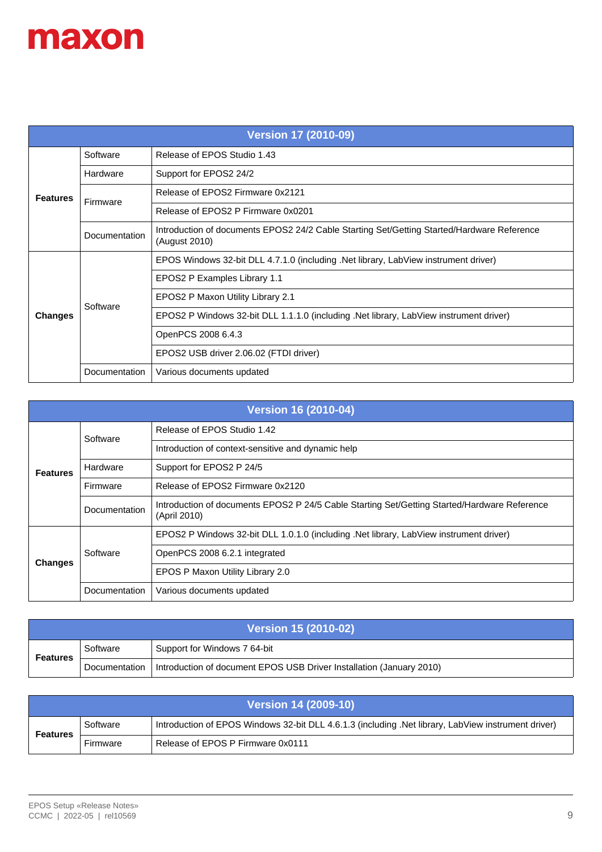| <b>Version 17 (2010-09)</b> |               |                                                                                                             |
|-----------------------------|---------------|-------------------------------------------------------------------------------------------------------------|
|                             | Software      | Release of EPOS Studio 1.43                                                                                 |
|                             | Hardware      | Support for EPOS2 24/2                                                                                      |
| <b>Features</b>             | Firmware      | Release of EPOS2 Firmware 0x2121                                                                            |
|                             |               | Release of EPOS2 P Firmware 0x0201                                                                          |
|                             | Documentation | Introduction of documents EPOS2 24/2 Cable Starting Set/Getting Started/Hardware Reference<br>(August 2010) |
|                             | Software      | EPOS Windows 32-bit DLL 4.7.1.0 (including .Net library, LabView instrument driver)                         |
|                             |               | EPOS2 P Examples Library 1.1                                                                                |
|                             |               | EPOS2 P Maxon Utility Library 2.1                                                                           |
| <b>Changes</b>              |               | EPOS2 P Windows 32-bit DLL 1.1.1.0 (including .Net library, LabView instrument driver)                      |
|                             |               | OpenPCS 2008 6.4.3                                                                                          |
|                             |               | EPOS2 USB driver 2.06.02 (FTDI driver)                                                                      |
|                             | Documentation | Various documents updated                                                                                   |

| <b>Version 16 (2010-04)</b> |               |                                                                                                              |
|-----------------------------|---------------|--------------------------------------------------------------------------------------------------------------|
| <b>Features</b>             | Software      | Release of EPOS Studio 1.42                                                                                  |
|                             |               | Introduction of context-sensitive and dynamic help                                                           |
|                             | Hardware      | Support for EPOS2 P 24/5                                                                                     |
|                             | Firmware      | Release of EPOS2 Firmware 0x2120                                                                             |
|                             | Documentation | Introduction of documents EPOS2 P 24/5 Cable Starting Set/Getting Started/Hardware Reference<br>(April 2010) |
| <b>Changes</b>              | Software      | EPOS2 P Windows 32-bit DLL 1.0.1.0 (including .Net library, LabView instrument driver)                       |
|                             |               | OpenPCS 2008 6.2.1 integrated                                                                                |
|                             |               | EPOS P Maxon Utility Library 2.0                                                                             |
|                             | Documentation | Various documents updated                                                                                    |

| <b>Version 15 (2010-02)</b> |               |                                                                      |
|-----------------------------|---------------|----------------------------------------------------------------------|
| <b>Features</b>             | Software      | Support for Windows 7 64-bit                                         |
|                             | Documentation | Introduction of document EPOS USB Driver Installation (January 2010) |

| <b>Version 14 (2009-10)</b> |          |                                                                                                     |
|-----------------------------|----------|-----------------------------------------------------------------------------------------------------|
| <b>Features</b>             | Software | Introduction of EPOS Windows 32-bit DLL 4.6.1.3 (including .Net library, LabView instrument driver) |
|                             | Firmware | Release of EPOS P Firmware 0x0111                                                                   |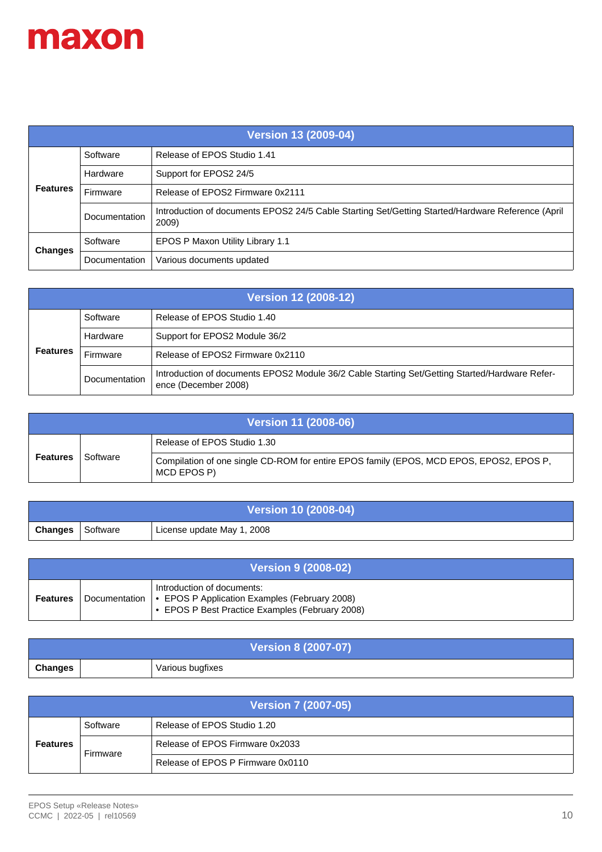

| <b>Version 13 (2009-04)</b> |               |                                                                                                            |
|-----------------------------|---------------|------------------------------------------------------------------------------------------------------------|
| <b>Features</b>             | Software      | Release of EPOS Studio 1.41                                                                                |
|                             | Hardware      | Support for EPOS2 24/5                                                                                     |
|                             | Firmware      | Release of EPOS2 Firmware 0x2111                                                                           |
|                             | Documentation | Introduction of documents EPOS2 24/5 Cable Starting Set/Getting Started/Hardware Reference (April<br>2009) |
| <b>Changes</b>              | Software      | EPOS P Maxon Utility Library 1.1                                                                           |
|                             | Documentation | Various documents updated                                                                                  |

| <b>Version 12 (2008-12)</b> |               |                                                                                                                        |
|-----------------------------|---------------|------------------------------------------------------------------------------------------------------------------------|
| <b>Features</b>             | Software      | Release of EPOS Studio 1.40                                                                                            |
|                             | Hardware      | Support for EPOS2 Module 36/2                                                                                          |
|                             | Firmware      | Release of EPOS2 Firmware 0x2110                                                                                       |
|                             | Documentation | Introduction of documents EPOS2 Module 36/2 Cable Starting Set/Getting Started/Hardware Refer-<br>ence (December 2008) |

| <b>Version 11 (2008-06)</b> |          |                                                                                                        |
|-----------------------------|----------|--------------------------------------------------------------------------------------------------------|
| Features                    | Software | Release of EPOS Studio 1.30                                                                            |
|                             |          | Compilation of one single CD-ROM for entire EPOS family (EPOS, MCD EPOS, EPOS2, EPOS P,<br>MCD EPOS P) |

| <b>Version 10 (2008-04)</b> |          |                            |
|-----------------------------|----------|----------------------------|
| <b>Changes</b>              | Software | License update May 1, 2008 |

| <b>Version 9 (2008-02)</b> |  |                                                                                                                                                |
|----------------------------|--|------------------------------------------------------------------------------------------------------------------------------------------------|
| <b>Features</b>            |  | Introduction of documents:<br>Documentation   • EPOS P Application Examples (February 2008)<br>• EPOS P Best Practice Examples (February 2008) |

| <b>Version 8 (2007-07)</b> |  |                  |
|----------------------------|--|------------------|
| <b>Changes</b>             |  | Various bugfixes |

| <b>Version 7 (2007-05)</b> |          |                                   |
|----------------------------|----------|-----------------------------------|
| <b>Features</b>            | Software | Release of EPOS Studio 1.20       |
|                            | Firmware | Release of EPOS Firmware 0x2033   |
|                            |          | Release of EPOS P Firmware 0x0110 |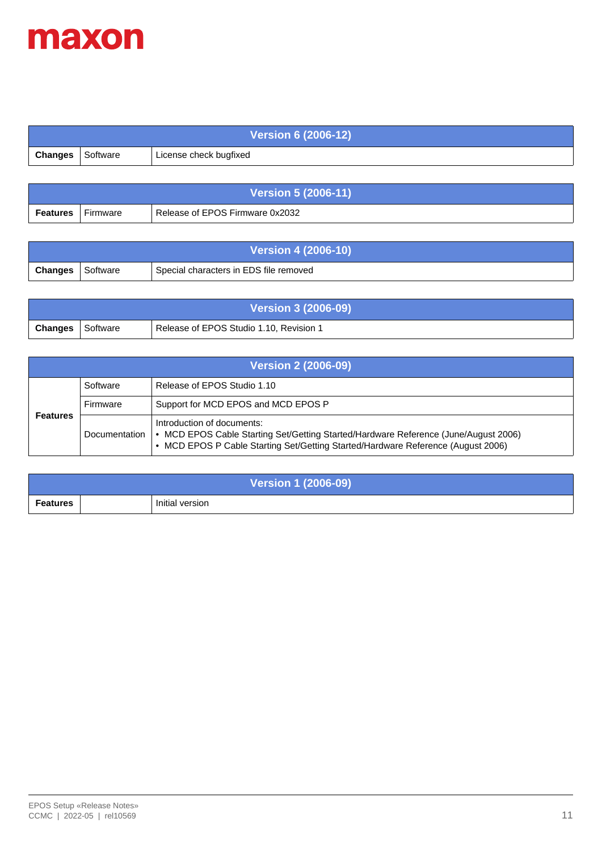

| <b>Version 6 (2006-12)</b> |          |                        |
|----------------------------|----------|------------------------|
| Changes                    | Software | License check bugfixed |

| <b>Version 5 (2006-11)</b> |          |                                 |
|----------------------------|----------|---------------------------------|
| <b>Features</b>            | Firmware | Release of EPOS Firmware 0x2032 |

| <b>Version 4 (2006-10)</b> |          |                                        |  |  |  |
|----------------------------|----------|----------------------------------------|--|--|--|
| Changes                    | Software | Special characters in EDS file removed |  |  |  |

| <b>Version 3 (2006-09)</b> |            |                                         |  |  |
|----------------------------|------------|-----------------------------------------|--|--|
| Changes                    | ∣ Software | Release of EPOS Studio 1.10, Revision 1 |  |  |

| <b>Version 2 (2006-09)</b> |               |                                                                                                                                                                                                       |  |  |
|----------------------------|---------------|-------------------------------------------------------------------------------------------------------------------------------------------------------------------------------------------------------|--|--|
| <b>Features</b>            | Software      | Release of EPOS Studio 1.10                                                                                                                                                                           |  |  |
|                            | Firmware      | Support for MCD EPOS and MCD EPOS P                                                                                                                                                                   |  |  |
|                            | Documentation | Introduction of documents:<br>. MCD EPOS Cable Starting Set/Getting Started/Hardware Reference (June/August 2006)<br>• MCD EPOS P Cable Starting Set/Getting Started/Hardware Reference (August 2006) |  |  |

| <b>Version 1 (2006-09)</b> |  |                 |  |  |  |
|----------------------------|--|-----------------|--|--|--|
| <b>Features</b>            |  | Initial version |  |  |  |